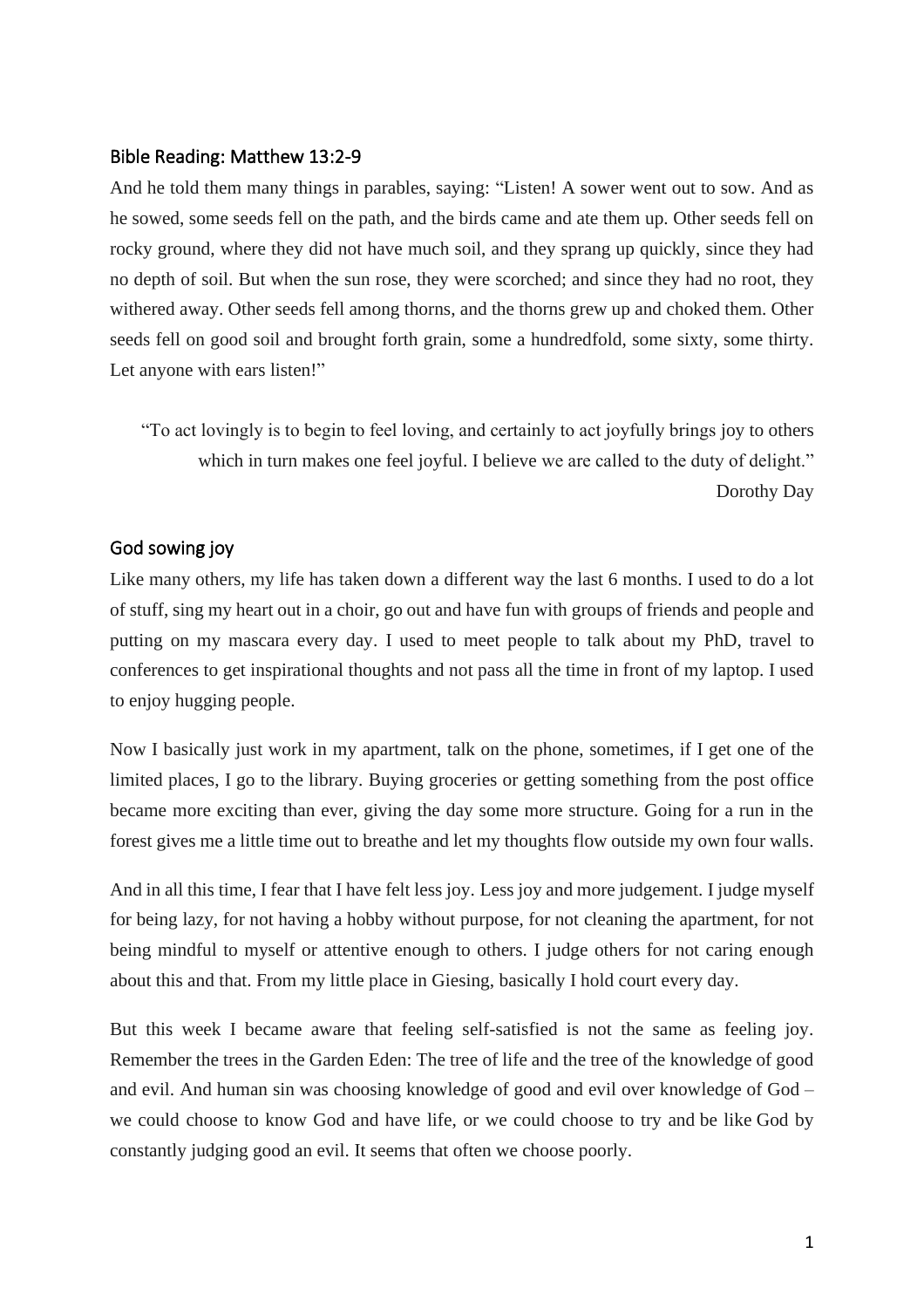## Bible Reading: Matthew 13:2-9

And he told them many things in parables, saying: "Listen! A sower went out to sow. And as he sowed, some seeds fell on the path, and the birds came and ate them up. Other seeds fell on rocky ground, where they did not have much soil, and they sprang up quickly, since they had no depth of soil. But when the sun rose, they were scorched; and since they had no root, they withered away. Other seeds fell among thorns, and the thorns grew up and choked them. Other seeds fell on good soil and brought forth grain, some a hundredfold, some sixty, some thirty. Let anyone with ears listen!"

"To act lovingly is to begin to feel loving, and certainly to act joyfully brings joy to others which in turn makes one feel joyful. I believe we are called to the duty of delight." Dorothy Day

## God sowing joy

Like many others, my life has taken down a different way the last 6 months. I used to do a lot of stuff, sing my heart out in a choir, go out and have fun with groups of friends and people and putting on my mascara every day. I used to meet people to talk about my PhD, travel to conferences to get inspirational thoughts and not pass all the time in front of my laptop. I used to enjoy hugging people.

Now I basically just work in my apartment, talk on the phone, sometimes, if I get one of the limited places, I go to the library. Buying groceries or getting something from the post office became more exciting than ever, giving the day some more structure. Going for a run in the forest gives me a little time out to breathe and let my thoughts flow outside my own four walls.

And in all this time, I fear that I have felt less joy. Less joy and more judgement. I judge myself for being lazy, for not having a hobby without purpose, for not cleaning the apartment, for not being mindful to myself or attentive enough to others. I judge others for not caring enough about this and that. From my little place in Giesing, basically I hold court every day.

But this week I became aware that feeling self-satisfied is not the same as feeling joy. Remember the trees in the Garden Eden: The tree of life and the tree of the knowledge of good and evil. And human sin was choosing knowledge of good and evil over knowledge of God – we could choose to know God and have life, or we could choose to try and be like God by constantly judging good an evil. It seems that often we choose poorly.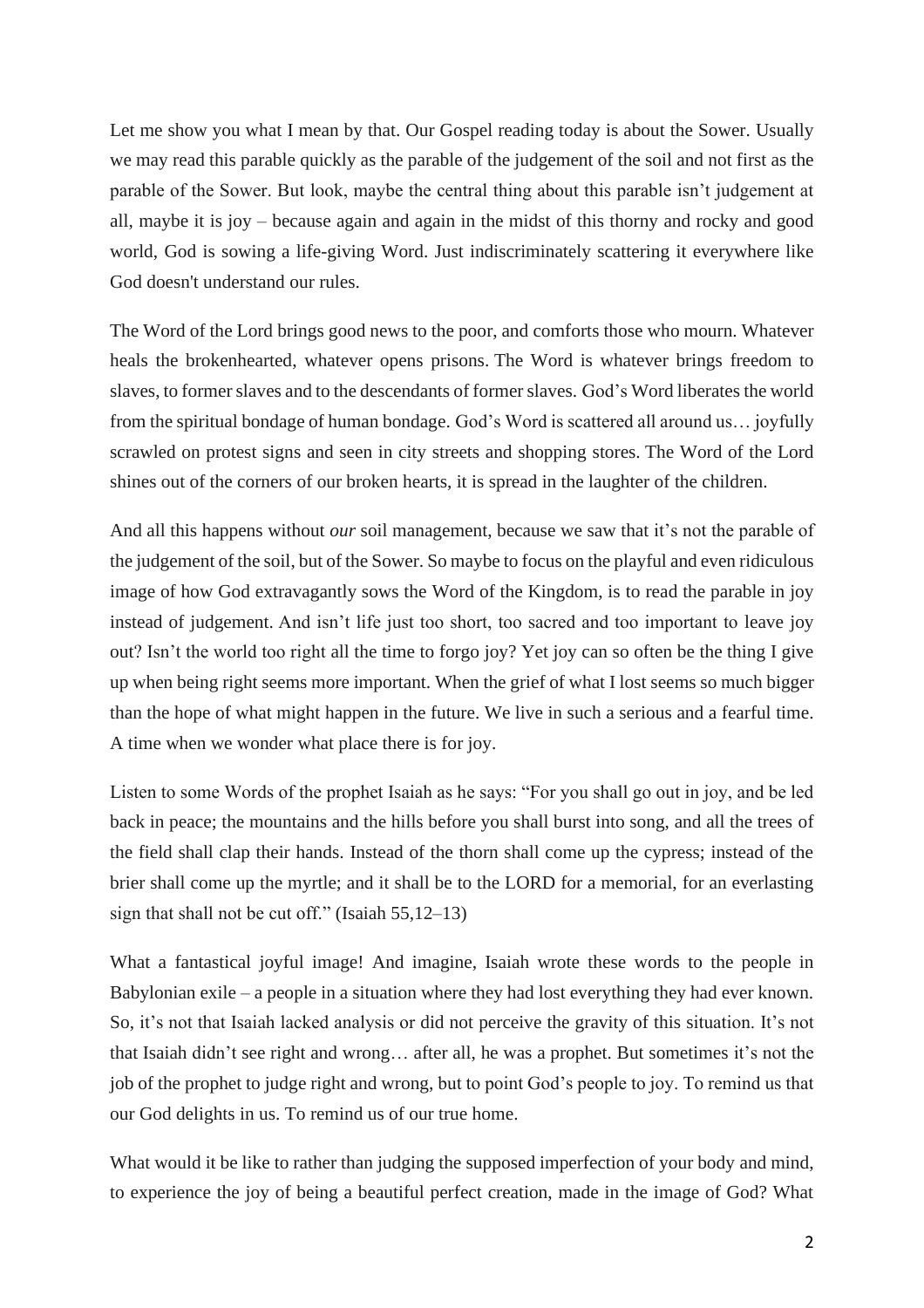Let me show you what I mean by that. Our Gospel reading today is about the Sower. Usually we may read this parable quickly as the parable of the judgement of the soil and not first as the parable of the Sower. But look, maybe the central thing about this parable isn't judgement at all, maybe it is joy – because again and again in the midst of this thorny and rocky and good world, God is sowing a life-giving Word. Just indiscriminately scattering it everywhere like God doesn't understand our rules.

The Word of the Lord brings good news to the poor, and comforts those who mourn. Whatever heals the brokenhearted, whatever opens prisons. The Word is whatever brings freedom to slaves, to former slaves and to the descendants of former slaves. God's Word liberates the world from the spiritual bondage of human bondage. God's Word is scattered all around us… joyfully scrawled on protest signs and seen in city streets and shopping stores. The Word of the Lord shines out of the corners of our broken hearts, it is spread in the laughter of the children.

And all this happens without *our* soil management, because we saw that it's not the parable of the judgement of the soil, but of the Sower. So maybe to focus on the playful and even ridiculous image of how God extravagantly sows the Word of the Kingdom, is to read the parable in joy instead of judgement. And isn't life just too short, too sacred and too important to leave joy out? Isn't the world too right all the time to forgo joy? Yet joy can so often be the thing I give up when being right seems more important. When the grief of what I lost seems so much bigger than the hope of what might happen in the future. We live in such a serious and a fearful time. A time when we wonder what place there is for joy.

Listen to some Words of the prophet Isaiah as he says: "For you shall go out in joy, and be led back in peace; the mountains and the hills before you shall burst into song, and all the trees of the field shall clap their hands. Instead of the thorn shall come up the cypress; instead of the brier shall come up the myrtle; and it shall be to the LORD for a memorial, for an everlasting sign that shall not be cut off." (Isaiah 55,12–13)

What a fantastical joyful image! And imagine, Isaiah wrote these words to the people in Babylonian exile – a people in a situation where they had lost everything they had ever known. So, it's not that Isaiah lacked analysis or did not perceive the gravity of this situation. It's not that Isaiah didn't see right and wrong… after all, he was a prophet. But sometimes it's not the job of the prophet to judge right and wrong, but to point God's people to joy. To remind us that our God delights in us. To remind us of our true home.

What would it be like to rather than judging the supposed imperfection of your body and mind, to experience the joy of being a beautiful perfect creation, made in the image of God? What